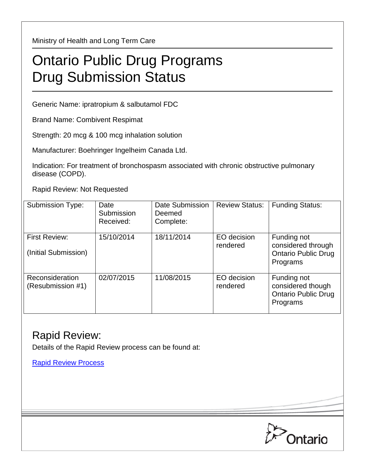Ministry of Health and Long Term Care

## Ontario Public Drug Programs Drug Submission Status

Generic Name: ipratropium & salbutamol FDC

Brand Name: Combivent Respimat

Strength: 20 mcg & 100 mcg inhalation solution

Manufacturer: Boehringer Ingelheim Canada Ltd.

Indication: For treatment of bronchospasm associated with chronic obstructive pulmonary disease (COPD).

Rapid Review: Not Requested

| <b>Submission Type:</b>                      | Date<br>Submission<br>Received: | Date Submission<br>Deemed<br>Complete: | <b>Review Status:</b>   | <b>Funding Status:</b>                                                      |
|----------------------------------------------|---------------------------------|----------------------------------------|-------------------------|-----------------------------------------------------------------------------|
| <b>First Review:</b><br>(Initial Submission) | 15/10/2014                      | 18/11/2014                             | EO decision<br>rendered | Funding not<br>considered through<br><b>Ontario Public Drug</b><br>Programs |
| Reconsideration<br>(Resubmission #1)         | 02/07/2015                      | 11/08/2015                             | EO decision<br>rendered | Funding not<br>considered though<br><b>Ontario Public Drug</b><br>Programs  |

## Rapid Review:

Details of the Rapid Review process can be found at:

[Rapid Review Process](http://www.health.gov.on.ca/en/pro/programs/drugs/drug_submissions/rapid_review_process.aspx)